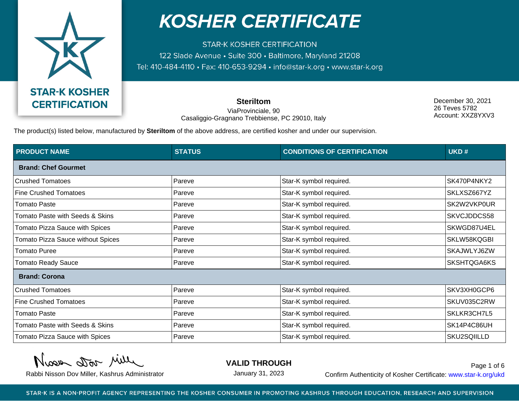

**STAR-K KOSHER CERTIFICATION** 122 Slade Avenue · Suite 300 · Baltimore, Maryland 21208 Tel: 410-484-4110 · Fax: 410-653-9294 · info@star-k.org · www.star-k.org

> **Steriltom** ViaProvinciale, 90 Casaliggio-Gragnano Trebbiense, PC 29010, Italy

December 30, 2021 26 Teves 5782 Account: XXZ8YXV3

The product(s) listed below, manufactured by **Steriltom** of the above address, are certified kosher and under our supervision.

| <b>PRODUCT NAME</b>                      | <b>STATUS</b> | <b>CONDITIONS OF CERTIFICATION</b> | UKD#        |
|------------------------------------------|---------------|------------------------------------|-------------|
| <b>Brand: Chef Gourmet</b>               |               |                                    |             |
| <b>Crushed Tomatoes</b>                  | Pareve        | Star-K symbol required.            | SK470P4NKY2 |
| <b>Fine Crushed Tomatoes</b>             | Pareve        | Star-K symbol required.            | SKLXSZ667YZ |
| <b>Tomato Paste</b>                      | Pareve        | Star-K symbol required.            | SK2W2VKP0UR |
| Tomato Paste with Seeds & Skins          | Pareve        | Star-K symbol required.            | SKVCJDDCS58 |
| Tomato Pizza Sauce with Spices           | Pareve        | Star-K symbol required.            | SKWGD87U4EL |
| <b>Tomato Pizza Sauce without Spices</b> | Pareve        | Star-K symbol required.            | SKLW58KQGBI |
| Tomato Puree                             | Pareve        | Star-K symbol required.            | SKAJWLYJ6ZW |
| <b>Tomato Ready Sauce</b>                | Pareve        | Star-K symbol required.            | SKSHTQGA6KS |
| <b>Brand: Corona</b>                     |               |                                    |             |
| <b>Crushed Tomatoes</b>                  | Pareve        | Star-K symbol required.            | SKV3XH0GCP6 |
| <b>Fine Crushed Tomatoes</b>             | Pareve        | Star-K symbol required.            | SKUV035C2RW |
| <b>Tomato Paste</b>                      | Pareve        | Star-K symbol required.            | SKLKR3CH7L5 |
| Tomato Paste with Seeds & Skins          | Pareve        | Star-K symbol required.            | SK14P4C86UH |
| Tomato Pizza Sauce with Spices           | Pareve        | Star-K symbol required.            | SKU2SQIILLD |

Nisse Dor Mille

**VALID THROUGH**

January 31, 2023

Rabbi Nisson Dov Miller, Kashrus Administrator **Confirm Authenticity of Kosher Certificate:** www.star-k.org/ukd Page 1 of 6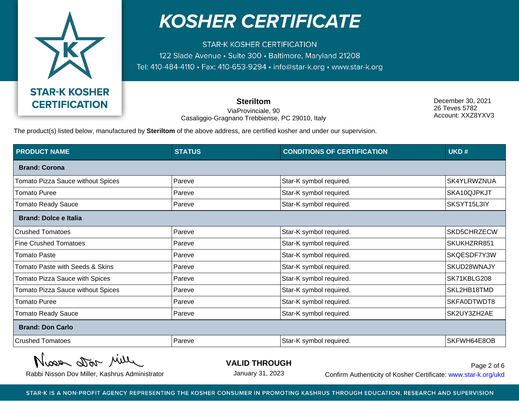

**STAR-K KOSHER CERTIFICATION** 122 Slade Avenue · Suite 300 · Baltimore, Maryland 21208 Tel: 410-484-4110 · Fax: 410-653-9294 · info@star-k.org · www.star-k.org

> **Steriltom** ViaProvinciale, 90 Casaliggio-Gragnano Trebbiense, PC 29010, Italy

December 30, 2021 26 Teves 5782 Account: XXZ8YXV3

The product(s) listed below, manufactured by **Steriltom** of the above address, are certified kosher and under our supervision.

| <b>PRODUCT NAME</b>               | <b>STATUS</b> | <b>CONDITIONS OF CERTIFICATION</b> | UKD#        |
|-----------------------------------|---------------|------------------------------------|-------------|
| <b>Brand: Corona</b>              |               |                                    |             |
| Tomato Pizza Sauce without Spices | Pareve        | Star-K symbol required.            | SK4YLRWZNUA |
| <b>Tomato Puree</b>               | Pareve        | Star-K symbol required.            | SKA10QJPKJT |
| Tomato Ready Sauce                | Pareve        | Star-K symbol required.            | SKSYT15L3IY |
| <b>Brand: Dolce e Italia</b>      |               |                                    |             |
| <b>Crushed Tomatoes</b>           | Pareve        | Star-K symbol required.            | SKD5CHRZECW |
| <b>Fine Crushed Tomatoes</b>      | Pareve        | Star-K symbol required.            | SKUKHZRR851 |
| <b>Tomato Paste</b>               | Pareve        | Star-K symbol required.            | SKQESDF7Y3W |
| Tomato Paste with Seeds & Skins   | Pareve        | Star-K symbol required.            | SKUD28WNAJY |
| Tomato Pizza Sauce with Spices    | Pareve        | Star-K symbol required.            | SK71KBLG208 |
| Tomato Pizza Sauce without Spices | Pareve        | Star-K symbol required.            | SKL2HB18TMD |
| <b>Tomato Puree</b>               | Pareve        | Star-K symbol required.            | SKFA0DTWDT8 |
| <b>Tomato Ready Sauce</b>         | Pareve        | Star-K symbol required.            | SK2UY3ZH2AE |
| <b>Brand: Don Carlo</b>           |               |                                    |             |
| <b>Crushed Tomatoes</b>           | Pareve        | Star-K symbol required.            | SKFWH64E8OB |

Nisse Dor Mille

**VALID THROUGH**

January 31, 2023

Rabbi Nisson Dov Miller, Kashrus Administrator **Confirm Authenticity of Kosher Certificate:** www.star-k.org/ukd Page 2 of 6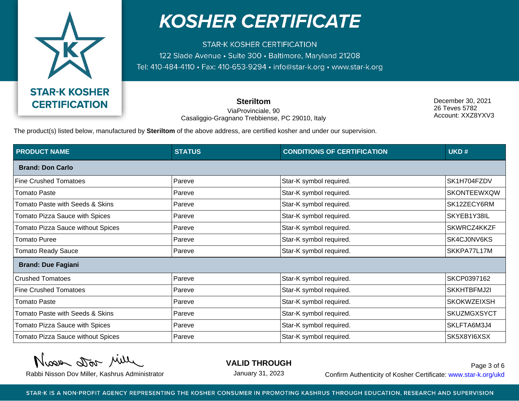

**STAR-K KOSHER CERTIFICATION** 122 Slade Avenue · Suite 300 · Baltimore, Maryland 21208 Tel: 410-484-4110 · Fax: 410-653-9294 · info@star-k.org · www.star-k.org

> **Steriltom** ViaProvinciale, 90 Casaliggio-Gragnano Trebbiense, PC 29010, Italy

December 30, 2021 26 Teves 5782 Account: XXZ8YXV3

The product(s) listed below, manufactured by **Steriltom** of the above address, are certified kosher and under our supervision.

| <b>PRODUCT NAME</b>                      | <b>STATUS</b> | <b>CONDITIONS OF CERTIFICATION</b> | UKD#               |  |
|------------------------------------------|---------------|------------------------------------|--------------------|--|
| <b>Brand: Don Carlo</b>                  |               |                                    |                    |  |
| <b>Fine Crushed Tomatoes</b>             | Pareve        | Star-K symbol required.            | SK1H704FZDV        |  |
| <b>Tomato Paste</b>                      | Pareve        | Star-K symbol required.            | <b>SKONTEEWXQW</b> |  |
| Tomato Paste with Seeds & Skins          | Pareve        | Star-K symbol required.            | SK12ZECY6RM        |  |
| <b>Tomato Pizza Sauce with Spices</b>    | Pareve        | Star-K symbol required.            | SKYEB1Y38IL        |  |
| <b>Tomato Pizza Sauce without Spices</b> | Pareve        | Star-K symbol required.            | SKWRCZ4KKZF        |  |
| <b>Tomato Puree</b>                      | Pareve        | Star-K symbol required.            | SK4CJ0NV6KS        |  |
| <b>Tomato Ready Sauce</b>                | Pareve        | Star-K symbol required.            | SKKPA77L17M        |  |
| <b>Brand: Due Fagiani</b>                |               |                                    |                    |  |
| <b>Crushed Tomatoes</b>                  | Pareve        | Star-K symbol required.            | SKCP0397162        |  |
| <b>Fine Crushed Tomatoes</b>             | Pareve        | Star-K symbol required.            | SKKHTBFMJ2I        |  |
| Tomato Paste                             | Pareve        | Star-K symbol required.            | <b>SKOKWZEIXSH</b> |  |
| Tomato Paste with Seeds & Skins          | Pareve        | Star-K symbol required.            | <b>SKUZMGXSYCT</b> |  |
| <b>Tomato Pizza Sauce with Spices</b>    | Pareve        | Star-K symbol required.            | SKLFTA6M3J4        |  |
| Tomato Pizza Sauce without Spices        | Pareve        | Star-K symbol required.            | SK5X8YI6XSX        |  |

Nisse Dor Mille

**VALID THROUGH**

January 31, 2023

Rabbi Nisson Dov Miller, Kashrus Administrator **Confirm Authenticity of Kosher Certificate:** www.star-k.org/ukd Page 3 of 6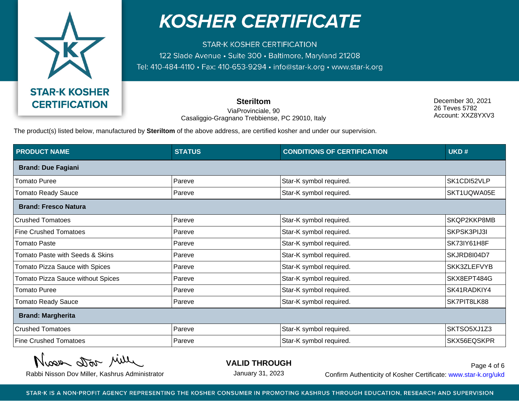

**STAR-K KOSHER CERTIFICATION** 122 Slade Avenue · Suite 300 · Baltimore, Maryland 21208 Tel: 410-484-4110 · Fax: 410-653-9294 · info@star-k.org · www.star-k.org

> **Steriltom** ViaProvinciale, 90 Casaliggio-Gragnano Trebbiense, PC 29010, Italy

December 30, 2021 26 Teves 5782 Account: XXZ8YXV3

The product(s) listed below, manufactured by **Steriltom** of the above address, are certified kosher and under our supervision.

| <b>PRODUCT NAME</b>               | <b>STATUS</b> | <b>CONDITIONS OF CERTIFICATION</b> | UKD#        |
|-----------------------------------|---------------|------------------------------------|-------------|
| <b>Brand: Due Fagiani</b>         |               |                                    |             |
| <b>Tomato Puree</b>               | Pareve        | Star-K symbol required.            | SK1CDI52VLP |
| <b>Tomato Ready Sauce</b>         | Pareve        | Star-K symbol required.            | SKT1UQWA05E |
| <b>Brand: Fresco Natura</b>       |               |                                    |             |
| <b>Crushed Tomatoes</b>           | Pareve        | Star-K symbol required.            | SKQP2KKP8MB |
| <b>Fine Crushed Tomatoes</b>      | Pareve        | Star-K symbol required.            | SKPSK3PIJ3I |
| <b>Tomato Paste</b>               | Pareve        | Star-K symbol required.            | SK73IY61H8F |
| Tomato Paste with Seeds & Skins   | Pareve        | Star-K symbol required.            | SKJRD8104D7 |
| Tomato Pizza Sauce with Spices    | Pareve        | Star-K symbol required.            | SKK3ZLEFVYB |
| Tomato Pizza Sauce without Spices | Pareve        | Star-K symbol required.            | SKX8EPT484G |
| <b>Tomato Puree</b>               | Pareve        | Star-K symbol required.            | SK41RADKIY4 |
| <b>Tomato Ready Sauce</b>         | Pareve        | Star-K symbol required.            | SK7PIT8LK88 |
| <b>Brand: Margherita</b>          |               |                                    |             |
| <b>Crushed Tomatoes</b>           | Pareve        | Star-K symbol required.            | SKTSO5XJ1Z3 |
| <b>Fine Crushed Tomatoes</b>      | Pareve        | Star-K symbol required.            | SKX56EQSKPR |

Nisse Dor Mille

**VALID THROUGH**

January 31, 2023

Rabbi Nisson Dov Miller, Kashrus Administrator **Confirm Authenticity of Kosher Certificate:** www.star-k.org/ukd Page 4 of 6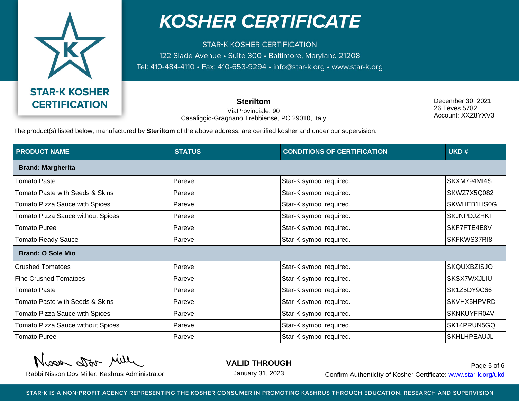

**STAR-K KOSHER CERTIFICATION** 122 Slade Avenue · Suite 300 · Baltimore, Maryland 21208 Tel: 410-484-4110 · Fax: 410-653-9294 · info@star-k.org · www.star-k.org

> **Steriltom** ViaProvinciale, 90 Casaliggio-Gragnano Trebbiense, PC 29010, Italy

December 30, 2021 26 Teves 5782 Account: XXZ8YXV3

The product(s) listed below, manufactured by **Steriltom** of the above address, are certified kosher and under our supervision.

| <b>PRODUCT NAME</b>                      | <b>STATUS</b> | <b>CONDITIONS OF CERTIFICATION</b> | UKD#               |  |
|------------------------------------------|---------------|------------------------------------|--------------------|--|
| <b>Brand: Margherita</b>                 |               |                                    |                    |  |
| <b>Tomato Paste</b>                      | Pareve        | Star-K symbol required.            | SKXM794MI4S        |  |
| Tomato Paste with Seeds & Skins          | Pareve        | Star-K symbol required.            | SKWZ7X5Q082        |  |
| Tomato Pizza Sauce with Spices           | Pareve        | Star-K symbol required.            | SKWHEB1HS0G        |  |
| <b>Tomato Pizza Sauce without Spices</b> | Pareve        | Star-K symbol required.            | <b>SKJNPDJZHKI</b> |  |
| <b>Tomato Puree</b>                      | Pareve        | Star-K symbol required.            | SKF7FTE4E8V        |  |
| <b>Tomato Ready Sauce</b>                | Pareve        | Star-K symbol required.            | SKFKWS37RI8        |  |
| <b>Brand: O Sole Mio</b>                 |               |                                    |                    |  |
| <b>Crushed Tomatoes</b>                  | Pareve        | Star-K symbol required.            | <b>SKQUXBZISJO</b> |  |
| <b>Fine Crushed Tomatoes</b>             | Pareve        | Star-K symbol required.            | <b>SKSX7WXJLIU</b> |  |
| <b>Tomato Paste</b>                      | Pareve        | Star-K symbol required.            | SK1Z5DY9C66        |  |
| Tomato Paste with Seeds & Skins          | Pareve        | Star-K symbol required.            | SKVHX5HPVRD        |  |
| Tomato Pizza Sauce with Spices           | Pareve        | Star-K symbol required.            | SKNKUYFR04V        |  |
| Tomato Pizza Sauce without Spices        | Pareve        | Star-K symbol required.            | SK14PRUN5GQ        |  |
| <b>Tomato Puree</b>                      | Pareve        | Star-K symbol required.            | <b>SKHLHPEAUJL</b> |  |

Nisse Dor Mille

**VALID THROUGH**

January 31, 2023

Rabbi Nisson Dov Miller, Kashrus Administrator **Confirm Authenticity of Kosher Certificate:** www.star-k.org/ukd Page 5 of 6